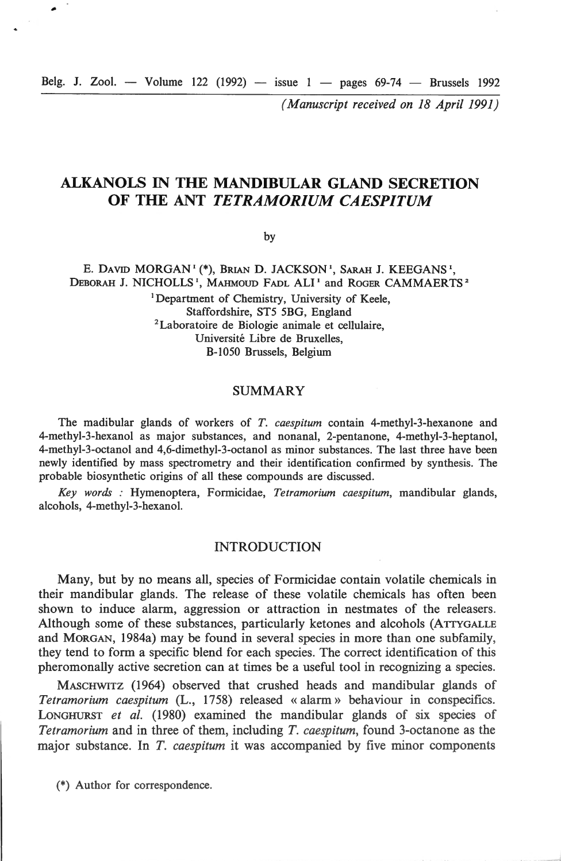Belg. J. Zool. - Volume 122 (1992) - issue  $1 -$  pages 69-74 - Brussels 1992

*( Manuscript received on 18 April 1991)* 

# **ALKANOLS IN THE MANDIBULAR GLAND SECRETION OF THE ANT** *TETRAMORIUM CAESPITUM*

by

E. DAVID MORGAN<sup>1</sup> (\*), BRIAN D. JACKSON<sup>1</sup>, SARAH J. KEEGANS<sup>1</sup>, DEBORAH J. NICHOLLS<sup>1</sup>, MAHMOUD FADL ALI<sup>1</sup> and ROGER CAMMAERTS<sup>2</sup> <sup>1</sup>Department of Chemistry, University of Keele, Staffordshire, ST5 5BG, England <sup>2</sup> Laboratoire de Biologie animale et cellulaire, Université Libre de Bruxelles, B-1050 Brussels, Belgium

## SUMMARY

The madibular glands of workers of *T. caespitum* contain 4-methyl-3-hexanone and 4-methyl-3-hexanol as major substances, and nonanal, 2-pentanone, 4-methyl-3-heptanol, 4-methyl-3-octanol and 4,6-dimethyl-3-octanol as minor substances. The last three have been newly identified by mass spectrometry and their identification confirmed by synthesis. The probable biosynthetic origins of ali these compounds are discussed.

*Key words :* Hymenoptera, Formicidae, *Tetramorium caespitum,* mandibular glands, alcohols, 4-methyl-3-hexanol.

## INTRODUCTION

Many, but by no means ail, species of Fonnicidae contain volatile chemicals in their mandibular glands. The release of these volatile chemicals has often been shown to induce alarm, aggression or attraction in nestmates of the releasers. Although some of these substances, particularly ketones and alcohols (ATTYGALLE and MoRGAN, 1984a) may be found in several species in more than one subfamily, they tend to fonn a specifie blend for each species. The correct identification of this pheromonally active secretion can at times be a useful tool in recognizing a species.

MASCHWITZ (1964) observed that crushed heads and mandibular glands of *Tetramorium caespitum* (L., 1758) released « alarm » behaviour in conspecifics. LONGHURST *et al.* (1980) examined the mandibular glands of six species of *Tetramorium* and in three of them, including *T. caespitum,* found 3-octanone as the major substance. In *T. caespitum* it was accompanied by five minor components

(\*) Author for correspondence.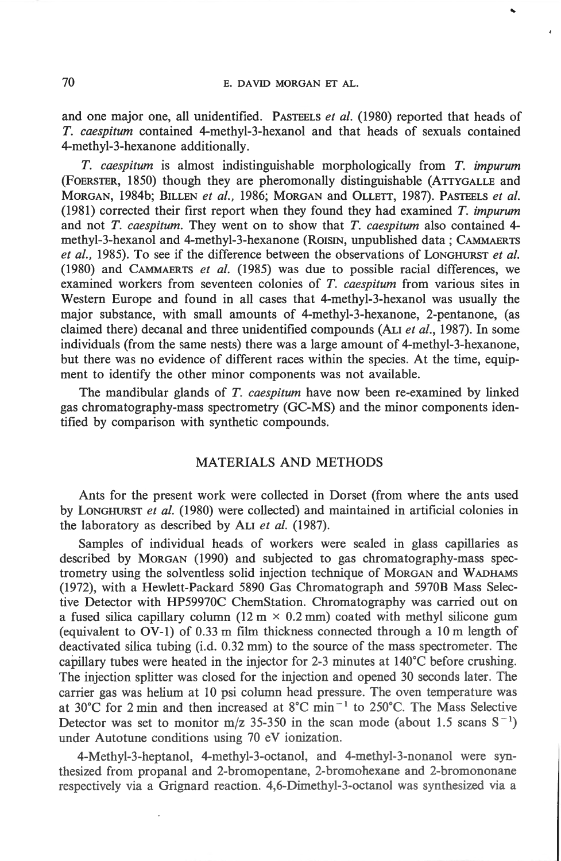..

and one major one, ail unidentified. PASTEELS *et al.* (1980) reported that heads of *T. caespitum* contained 4-methyl-3-hexanol and that heads of sexuals contained 4-methyl-3-hexanone additionally.

*T. caespitum* is almost indistinguishable morphologically from T. *impurum*  (FOERSTER, 1850) though they are pheromonally distinguishable (ATTYGALLE and MORGAN, 1984b; BILLEN *et al.,* 1986; MORGAN and ÜLLETT, 1987). PASTEELS *et al.*  (1981) corrected their first report when they found they had examined *T. impurum*  and not *T. caespitum.* They went on to show that *T. caespitum* also contained 4 methy1-3-hexanol and 4-methyl-3-hexanone (ROISIN, unpublished data ; CAMMAERTS *et al. ,* 1985). To see if the difference between the observations of LONGHURST *et al.*  (1980) and CAMMAERTS *et al.* (1985) was due to possible racial differences, we examined workers from seventeen colonies of *T. caespitum* from various sites in Western Europe and found in all cases that 4-methyl-3-hexanol was usually the major substance, with small amounts of 4-methyl-3-hexanone, 2-pentanone, (as claimed there) decanal and three unidentified compounds (ALI *et al.,* 1987). In sorne individuals (from the same nests) there was a large amount of 4-methyl-3-hexanone, but there was no evidence of different races within the species. At the time, equipment to identify the other minor components was not available.

The mandibular glands of *T. caespitum* have now been re-examined by linked gas chromatography-mass spectrometry (GC-MS) and the minor components identified by comparison with synthetic compounds.

# MATERIALS AND METHODS

Ants for the present work were collected in Dorset (from where the ants used by LONGHURST *et al.* (1980) were collected) and maintained in artificial colonies in the laboratory as described by ALI *et al.* (1987).

Samples of individual heads of workers were sealed in glass capillaries as described by MORGAN (1990) and subjected to gas chromatography-mass spectrometry using the solventless solid injection technique of MORGAN and W ADHAMS (1972), with a Hewlett-Packard 5890 Gas Chromatograph and 5970B Mass Selective Detector with HP59970C ChemStation. Chromatography was carried out on a fused silica capillary column (12 m  $\times$  0.2 mm) coated with methyl silicone gum (equivalent to  $\overrightarrow{O}$ V-1) of 0.33 m film thickness connected through a 10 m length of deactivated silica tubing (i.d. 0.32 mm) to the source of the mass spectrometer. The capillary tubes were heated in the injector for 2-3 minutes at  $140^{\circ}$ C before crushing. The injection splitter was closed for the injection and opened 30 seconds later. The carrier gas was helium at 10 psi column head pressure. The oven temperature was at 30°C for 2 min and then increased at 8°C min<sup>-1</sup> to 250°C. The Mass Selective Detector was set to monitor m/z 35-350 in the scan mode (about 1.5 scans  $S^{-1}$ ) under Autotune conditions using 70 eV ionization.

4-Methyl-3-heptanol, 4-methyl-3-octanol, and 4-methyl-3-nonanol were synthesized from propanal and 2-bromopentane, 2-bromohexane and 2-bromononane respectively via a Grignard reaction. 4,6-Dimethyl-3-octanol was synthesized via a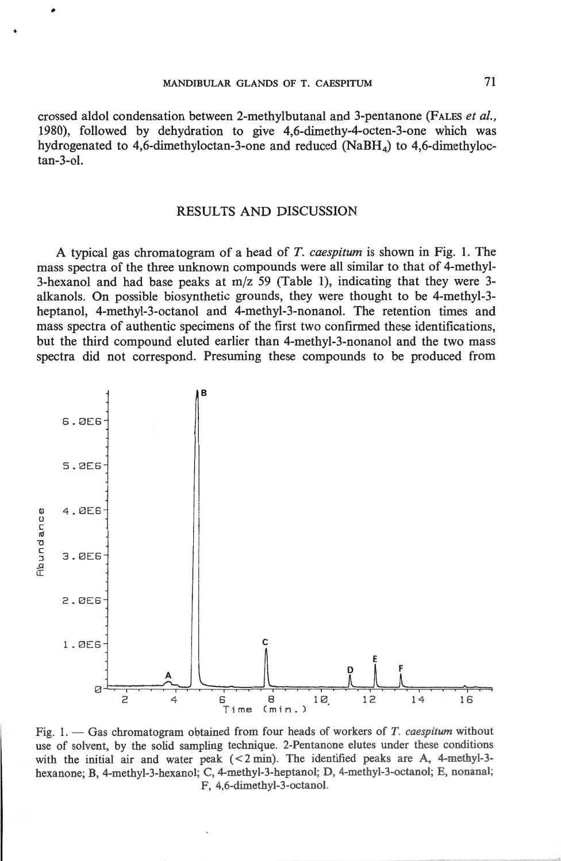crossed aldol condensation between 2-methylbutanal and 3-pentanone (FALES *et al.,*  1980), followed by dehydration to give 4,6-dimethy-4-octen-3-one which was hydrogenated to 4,6-dimethyloctan-3-one and reduced ( $N$ aBH $_A$ ) to 4,6-dimethyloctan-3-ol.

## RESULTS AND DISCUSSION

A typical gas chromatogram of a head of *T. caespitum* is shown in Fig. 1. The mass spectra of the three unknown compounds were ali similar to that of 4-methyl-3-hexanol and had base peaks at m/z 59 (Table 1), indicating that they were 3 alkanols. On possible biosynthetic grounds, they were thought to be 4-methyl-3 heptanol, 4-methyl-3-octanol and 4-methyl-3-nonanol. The retention times and mass spectra of authentic specimens of the first two confirmed these identifications, but the third compound eluted earlier than 4-methyl-3-nonanol and the two mass spectra did not correspond. Presurning these compounds to be produced from



Fig. 1. - Gas chromatogram obtained from four heads of workers of *T. caespitum* without use of solvent, by the solid sampling technique. 2-Pentanone elutes under these conditions with the initial air and water peak  $(< 2 \text{ min}$ ). The identified peaks are A, 4-methyl-3hexanone; B, 4-methyl-3-hexanol; C, 4-methyl-3-heptanol; D, 4-methyl-3-octanol; E, nonanal; F, 4,6-dimethyl-3-octanol.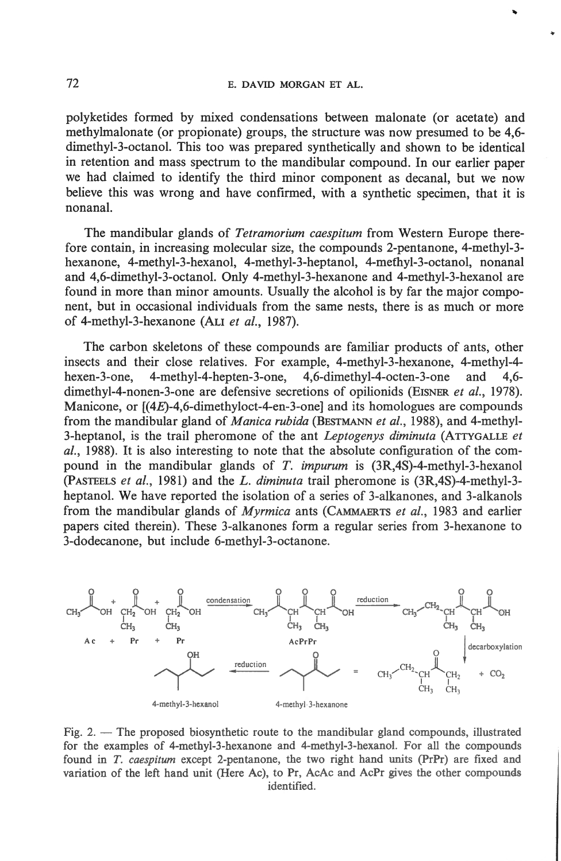'"

polyketides formed by mixed condensations between malonate (or acetate) and methylmalonate (or propionate) groups, the structure was now presumed to be 4,6 dimethyl-3-octanol. This too was prepared synthetically and shown to be identical in retention and mass spectrum to the mandibular compound. In our earlier paper we had claimed to identify the third minor component as decanal, but we now believe this was wrong and have confirmed, with a synthetic specimen, that it is nonanal.

The mandibular glands of *Tetramorium caespitum* from Western Europe therefore contain, in increasing molecular size, the compounds 2-pentanone, 4-methyl-3 hexanone, 4-methyl-3-hexanol, 4-methyl-3-heptanol, 4-mefhyl-3-octanol, nonanal and 4,6-dimethyl-3-octanol. Only 4-methyl-3-hexanone and 4-methyl-3-hexanol are found in more than minor amounts. Usually the alcohol is by far the major component, but in occasional individuals from the same nests, there is as much or more of 4-methyl-3-hexanone (Au *et al.,* 1987).

The carbon skeletons of these compounds are familiar products of ants, other insects and their close relatives. For example, 4-methyl-3-hexanone, 4-methyl-4 hexen-3-one, 4-methyl-4-hepten-3-one, 4,6-dimethyl-4-octen-3-one and 4,6 dimethyl-4-nonen-3-one are defensive secretions of opilionids (EISNER *et al.*, 1978). Manicone, or [(4E)-4,6-dimethyloct-4-en-3-one] and its homologues are compounds from the mandibular gland of *Manica rubida* (BESTMANN *et al.,* 1988), and 4-methyl-3-heptanol, is the trail pheromone of the ant *Leptogenys diminuta* (ATTYGALLE *et al.,* 1988). lt is also interesting to note that the absolute configuration of the compound in the mandibular glands of *T. impurum* is (3R,4S)-4-methyl-3-hexanol (PASTEELS *et al.,* 1981) and *theL. diminuta* trail pheromone is (3R,4S)-4-methyl-3 heptanol. We have reported the isolation of a series of 3-alkanones, and 3-alkanols from the mandibular glands of *Myrmica* ants (CAMMAERTS *et al. ,* 1983 and earlier papers cited therein). These 3-alkanones form a regular series from 3-hexanone to 3-dodecanone, but include 6-methyl-3-octanone.



Fig. 2.  $-$  The proposed biosynthetic route to the mandibular gland compounds, illustrated for the examples of 4-methyl-3-hexanone and 4-methyl-3-hexanol. For ali the compounds found in *T. caespitum* except 2-pentanone, the two right hand units (PrPr) are fixed and variation of the left band unit (Here Ac), to Pr, AcAc and AcPr gives the other compounds identified.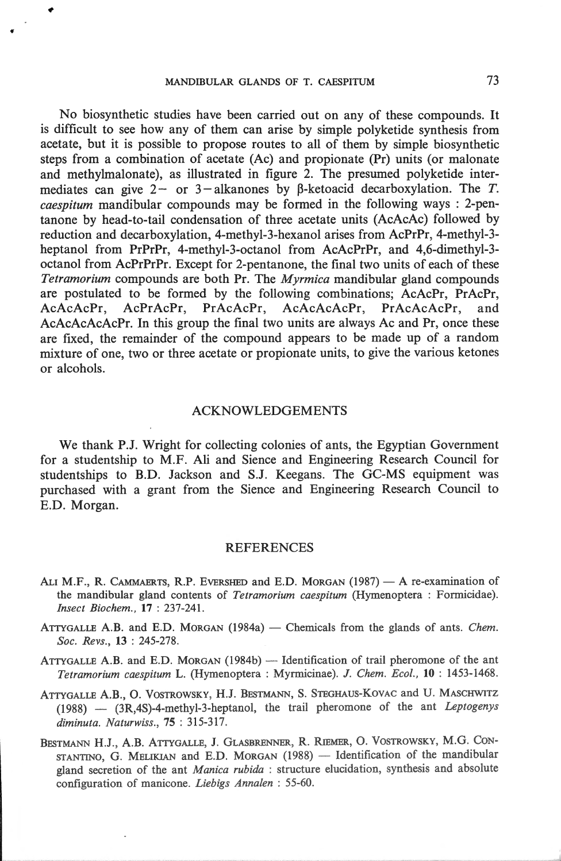No biosynthetic studies have been carried out on any of these compounds. It is difficult to see how any of them can arise by simple polyketide synthesis from acetate, but it is possible to propose routes to ali of them by simple biosynthetic steps from a combination of acetate (Ac) and propionate (Pr) units (or malonate and methylmalonate), as illustrated in figure 2. The presumed polyketide intermediates can give  $2-$  or  $3-$ alkanones by  $\beta$ -ketoacid decarboxylation. The *T*. *caespitum* mandibular compounds may be formed in the following ways : 2-pentanone by head-to-tail condensation of three acetate units (AcAcAc) followed by reduction and decarboxylation, 4-methyl-3-hexanol arises from AcPrPr, 4-methyl-3 heptanol from PrPrPr, 4-methyl-3-octanol from AcAcPrPr, and 4,6-dimethyl-3 octanol from AcPrPrPr. Except for 2-pentanone, the final two units of each of these *Tetramorium* compounds are both Pr. The *Myrmica* mandibular gland compounds are postulated to be formed by the following combinations; AcAcPr, PrAcPr, AcAcAcPr, AcPrAcPr, PrAcAcPr, AcAcAcAcPr, PrAcAcAcPr, and AcAcAcAcAcPr. In this group the final two units are always Ac and Pr, once these are fixed, the remainder of the compound appears to be made up of a random mixture of one, two or three acetate or propionate units, to give the various ketones or alcohols.

## ACKNOWLEDGEMENTS

We thank P.J. Wright for collecting colonies of ants, the Egyptian Government for a studentship to M.F. Ali and Sience and Engineering Research Council for studentships to B.D. Jackson and S.J. Keegans. The GC-MS equipment was purchased with a grant from the Sience and Engineering Research Council to E.D. Morgan.

## REFERENCES

- ALI M.F., R. CAMMAERTS, R.P. EVERSHED and E.D. MORGAN (1987) A re-examination of the mandibular gland contents of *Tetramorium caespitum* (Hymenoptera : Formicidae). *Jnsect Biochem.,* 17 : 237-241.
- ATTYGALLE A.B. and E.D. MORGAN (1984a) Chemicals from the glands of ants. *Chem. Soc. Revs.,* 13 : 245-278.
- ATTYGALLE A.B. and E.D. MORGAN (1984b) Identification of trail pheromone of the ant *Tetramorium caespitum* L. (Hymenoptera : Myrmicinae). J. *Chem. Eco!. ,* 10 : 1453-1468.
- ATTYGALLE A.B., O. VOSTROWSKY, H.J. BESTMANN, S. STEGHAUS-KOVAC and U. MASCHWITZ (1988) - (3R,4S)-4-methyl-3-heptanol, the trail pheromone of the ant *Leptogenys diminuta. Naturwiss.,* 75: 315-317.
- BESTMANN H.J., A.B. ATIYGALLE, J. GLASBRENNER, R. RffiMER, 0 . VOSTROWSKY, M.G. CON-STANTINO, G. MELIKIAN and E.D. MORGAN (1988) - Identification of the mandibular gland secretion of the ant *Manica rubida* : structure elucidation, synthesis and absolute configuration of manicone. *Liebigs Annalen* : 55-60.